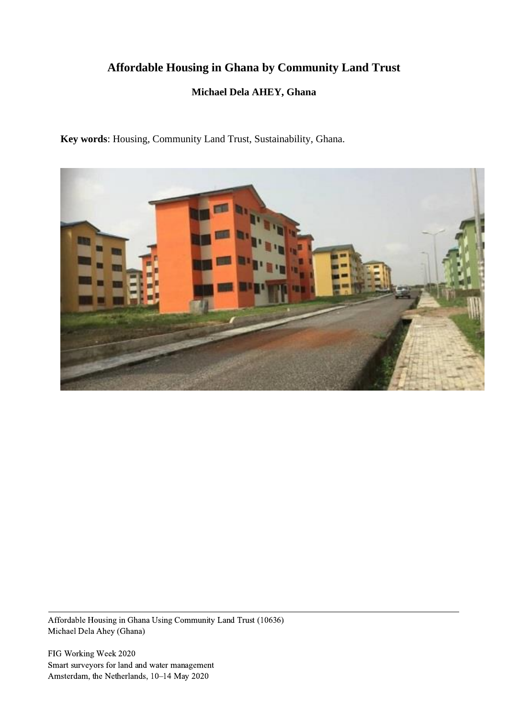# **Affordable Housing in Ghana by Community Land Trust**

# **Michael Dela AHEY, Ghana**

**Key words**: Housing, Community Land Trust, Sustainability, Ghana.



Affordable Housing in Ghana Using Community Land Trust (10636) Michael Dela Ahey (Ghana)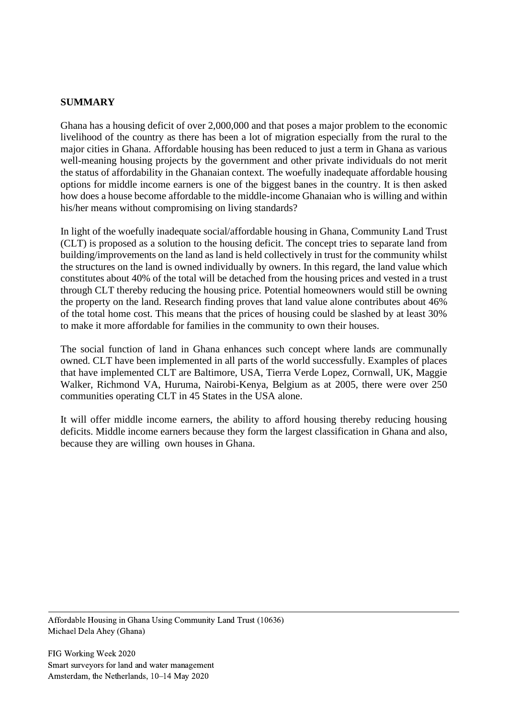#### **SUMMARY**

Ghana has a housing deficit of over 2,000,000 and that poses a major problem to the economic livelihood of the country as there has been a lot of migration especially from the rural to the major cities in Ghana. Affordable housing has been reduced to just a term in Ghana as various well-meaning housing projects by the government and other private individuals do not merit the status of affordability in the Ghanaian context. The woefully inadequate affordable housing options for middle income earners is one of the biggest banes in the country. It is then asked how does a house become affordable to the middle-income Ghanaian who is willing and within his/her means without compromising on living standards?

In light of the woefully inadequate social/affordable housing in Ghana, Community Land Trust (CLT) is proposed as a solution to the housing deficit. The concept tries to separate land from building/improvements on the land as land is held collectively in trust for the community whilst the structures on the land is owned individually by owners. In this regard, the land value which constitutes about 40% of the total will be detached from the housing prices and vested in a trust through CLT thereby reducing the housing price. Potential homeowners would still be owning the property on the land. Research finding proves that land value alone contributes about 46% of the total home cost. This means that the prices of housing could be slashed by at least 30% to make it more affordable for families in the community to own their houses.

The social function of land in Ghana enhances such concept where lands are communally owned. CLT have been implemented in all parts of the world successfully. Examples of places that have implemented CLT are Baltimore, USA, Tierra Verde Lopez, Cornwall, UK, Maggie Walker, Richmond VA, Huruma, Nairobi-Kenya, Belgium as at 2005, there were over 250 communities operating CLT in 45 States in the USA alone.

It will offer middle income earners, the ability to afford housing thereby reducing housing deficits. Middle income earners because they form the largest classification in Ghana and also, because they are willing own houses in Ghana.

Affordable Housing in Ghana Using Community Land Trust (10636) Michael Dela Ahey (Ghana)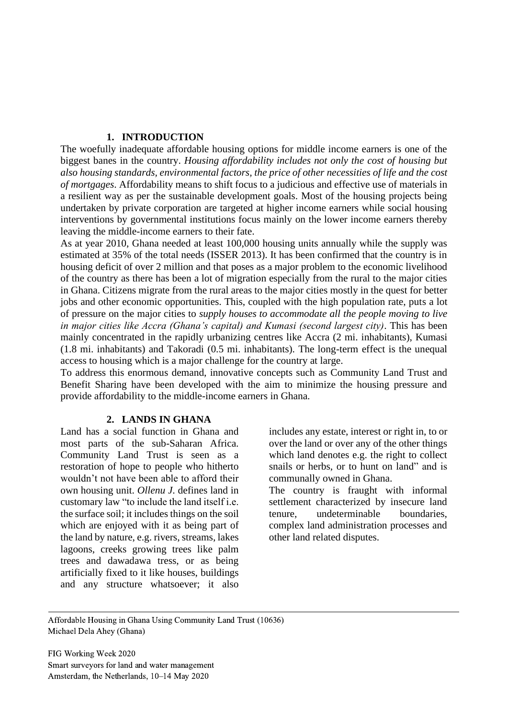#### **1. INTRODUCTION**

The woefully inadequate affordable housing options for middle income earners is one of the biggest banes in the country. *Housing affordability includes not only the cost of housing but also housing standards, environmental factors, the price of other necessities of life and the cost of mortgages*. Affordability means to shift focus to a judicious and effective use of materials in a resilient way as per the sustainable development goals. Most of the housing projects being undertaken by private corporation are targeted at higher income earners while social housing interventions by governmental institutions focus mainly on the lower income earners thereby leaving the middle-income earners to their fate.

As at year 2010, Ghana needed at least 100,000 housing units annually while the supply was estimated at 35% of the total needs (ISSER 2013). It has been confirmed that the country is in housing deficit of over 2 million and that poses as a major problem to the economic livelihood of the country as there has been a lot of migration especially from the rural to the major cities in Ghana. Citizens migrate from the rural areas to the major cities mostly in the quest for better jobs and other economic opportunities. This, coupled with the high population rate, puts a lot of pressure on the major cities to *supply houses to accommodate all the people moving to live in major cities like Accra (Ghana's capital) and Kumasi (second largest city)*. This has been mainly concentrated in the rapidly urbanizing centres like Accra (2 mi. inhabitants), Kumasi (1.8 mi. inhabitants) and Takoradi (0.5 mi. inhabitants). The long-term effect is the unequal access to housing which is a major challenge for the country at large.

To address this enormous demand, innovative concepts such as Community Land Trust and Benefit Sharing have been developed with the aim to minimize the housing pressure and provide affordability to the middle-income earners in Ghana.

# **2. LANDS IN GHANA**

Land has a social function in Ghana and most parts of the sub-Saharan Africa. Community Land Trust is seen as a restoration of hope to people who hitherto wouldn't not have been able to afford their own housing unit. *Ollenu J*. defines land in customary law "to include the land itself i.e. the surface soil; it includes things on the soil which are enjoyed with it as being part of the land by nature, e.g. rivers, streams, lakes lagoons, creeks growing trees like palm trees and dawadawa tress, or as being artificially fixed to it like houses, buildings and any structure whatsoever; it also

includes any estate, interest or right in, to or over the land or over any of the other things which land denotes e.g. the right to collect snails or herbs, or to hunt on land" and is communally owned in Ghana.

The country is fraught with informal settlement characterized by insecure land tenure, undeterminable boundaries, complex land administration processes and other land related disputes.

Affordable Housing in Ghana Using Community Land Trust (10636) Michael Dela Ahey (Ghana)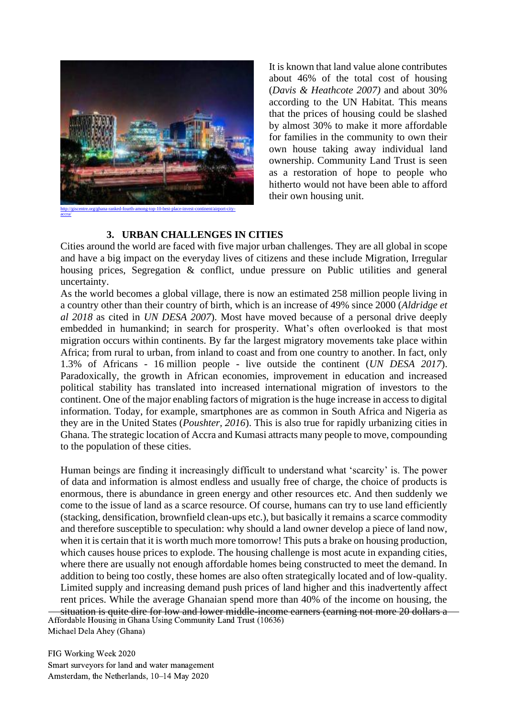

It is known that land value alone contributes about 46% of the total cost of housing (*Davis & Heathcote 2007)* and about 30% according to the UN Habitat. This means that the prices of housing could be slashed by almost 30% to make it more affordable for families in the community to own their own house taking away individual land ownership. Community Land Trust is seen as a restoration of hope to people who hitherto would not have been able to afford their own housing unit.

# **3. URBAN CHALLENGES IN CITIES**

Cities around the world are faced with five major urban challenges. They are all global in scope and have a big impact on the everyday lives of citizens and these include Migration, Irregular housing prices, Segregation & conflict, undue pressure on Public utilities and general uncertainty.

As the world becomes a global village, there is now an estimated 258 million people living in a country other than their country of birth, which is an increase of 49% since 2000 (*Aldridge et al 2018* as cited in *UN DESA 2007*). Most have moved because of a personal drive deeply embedded in humankind; in search for prosperity. What's often overlooked is that most migration occurs within continents. By far the largest migratory movements take place within Africa; from rural to urban, from inland to coast and from one country to another. In fact, only 1.3% of Africans - 16 million people - live outside the continent (*UN DESA 2017*). Paradoxically, the growth in African economies, improvement in education and increased political stability has translated into increased international migration of investors to the continent. One of the major enabling factors of migration is the huge increase in access to digital information. Today, for example, smartphones are as common in South Africa and Nigeria as they are in the United States (*Poushter, 2016*). This is also true for rapidly urbanizing cities in Ghana. The strategic location of Accra and Kumasi attracts many people to move, compounding to the population of these cities.

Human beings are finding it increasingly difficult to understand what 'scarcity' is. The power of data and information is almost endless and usually free of charge, the choice of products is enormous, there is abundance in green energy and other resources etc. And then suddenly we come to the issue of land as a scarce resource. Of course, humans can try to use land efficiently (stacking, densification, brownfield clean-ups etc.), but basically it remains a scarce commodity and therefore susceptible to speculation: why should a land owner develop a piece of land now, when it is certain that it is worth much more tomorrow! This puts a brake on housing production, which causes house prices to explode. The housing challenge is most acute in expanding cities, where there are usually not enough affordable homes being constructed to meet the demand. In addition to being too costly, these homes are also often strategically located and of low-quality. Limited supply and increasing demand push prices of land higher and this inadvertently affect rent prices. While the average Ghanaian spend more than 40% of the income on housing, the situation is quite dire for low and lower middle-income earners (earning not more 20 dollars a Affordable Housing in Ghana Using Community Land Trust (10636)

Michael Dela Ahey (Ghana)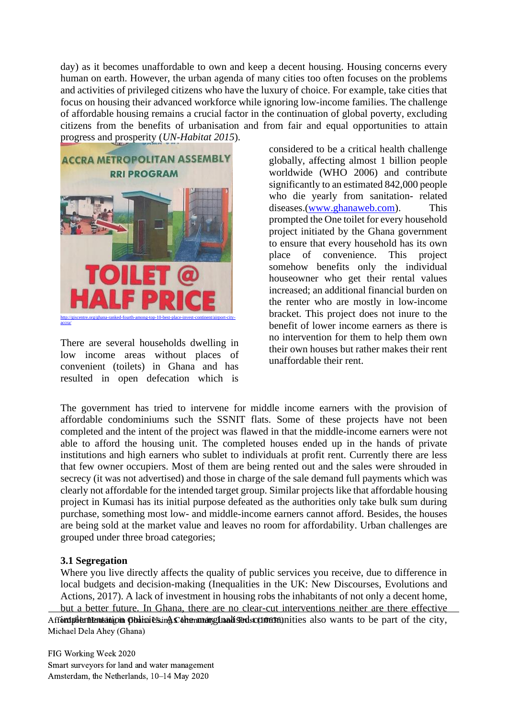day) as it becomes unaffordable to own and keep a decent housing. Housing concerns every human on earth. However, the urban agenda of many cities too often focuses on the problems and activities of privileged citizens who have the luxury of choice. For example, take cities that focus on housing their advanced workforce while ignoring low-income families. The challenge of affordable housing remains a crucial factor in the continuation of global poverty, excluding citizens from the benefits of urbanisation and from fair and equal opportunities to attain progress and prosperity (*UN-Habitat 2015*).



There are several households dwelling in low income areas without places of convenient (toilets) in Ghana and has resulted in open defecation which is

considered to be a critical health challenge globally, affecting almost 1 billion people worldwide (WHO 2006) and contribute significantly to an estimated 842,000 people who die yearly from sanitation- related diseases.[\(www.ghanaweb.com\)](http://www.ghanaweb.com/). This prompted the One toilet for every household project initiated by the Ghana government to ensure that every household has its own place of convenience. This project somehow benefits only the individual houseowner who get their rental values increased; an additional financial burden on the renter who are mostly in low-income bracket. This project does not inure to the benefit of lower income earners as there is no intervention for them to help them own their own houses but rather makes their rent unaffordable their rent.

The government has tried to intervene for middle income earners with the provision of affordable condominiums such the SSNIT flats. Some of these projects have not been completed and the intent of the project was flawed in that the middle-income earners were not able to afford the housing unit. The completed houses ended up in the hands of private institutions and high earners who sublet to individuals at profit rent. Currently there are less that few owner occupiers. Most of them are being rented out and the sales were shrouded in secrecy (it was not advertised) and those in charge of the sale demand full payments which was clearly not affordable for the intended target group. Similar projects like that affordable housing project in Kumasi has its initial purpose defeated as the authorities only take bulk sum during purchase, something most low- and middle-income earners cannot afford. Besides, the houses are being sold at the market value and leaves no room for affordability. Urban challenges are grouped under three broad categories;

# **3.1 Segregation**

Where you live directly affects the quality of public services you receive, due to difference in local budgets and decision-making (Inequalities in the UK: New Discourses, Evolutions and Actions, 2017). A lack of investment in housing robs the inhabitants of not only a decent home, but a better future. In Ghana, there are no clear-cut interventions neither are there effective Affondpblementation policies in Acommanginalised scontration it is also wants to be part of the city, Michael Dela Ahey (Ghana)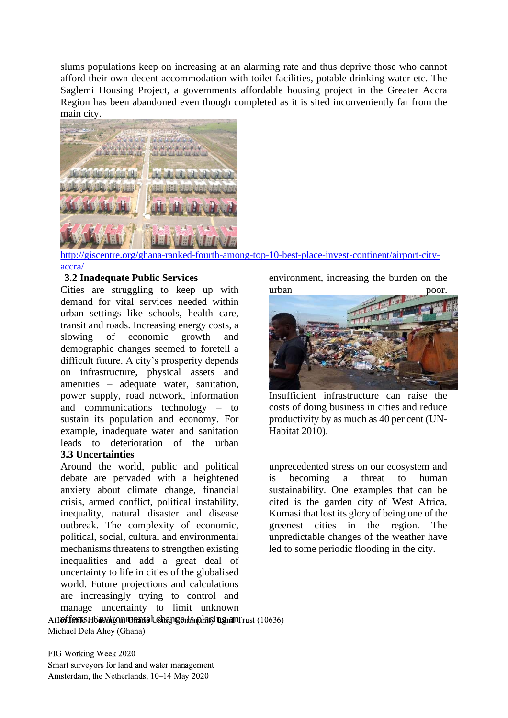slums populations keep on increasing at an alarming rate and thus deprive those who cannot afford their own decent accommodation with toilet facilities, potable drinking water etc. The Saglemi Housing Project, a governments affordable housing project in the Greater Accra Region has been abandoned even though completed as it is sited inconveniently far from the main city.



http://giscentre.org/ghana-ranked-fourth-among-top-10-best-place-invest-continent/airport-cityaccra/

# **3.2 Inadequate Public Services**

Cities are struggling to keep up with demand for vital services needed within urban settings like schools, health care, transit and roads. Increasing energy costs, a slowing of economic growth and demographic changes seemed to foretell a difficult future. A city's prosperity depends on infrastructure, physical assets and amenities – adequate water, sanitation, power supply, road network, information and communications technology – to sustain its population and economy. For example, inadequate water and sanitation leads to deterioration of the urban **3.3 Uncertainties**

Around the world, public and political debate are pervaded with a heightened anxiety about climate change, financial crisis, armed conflict, political instability, inequality, natural disaster and disease outbreak. The complexity of economic, political, social, cultural and environmental mechanisms threatens to strengthen existing inequalities and add a great deal of uncertainty to life in cities of the globalised world. Future projections and calculations are increasingly trying to control and manage uncertainty to limit unknown environment, increasing the burden on the urban poor.



Insufficient infrastructure can raise the costs of doing business in cities and reduce productivity by as much as 40 per cent (UN-Habitat 2010).

unprecedented stress on our ecosystem and is becoming a threat to human sustainability. One examples that can be cited is the garden city of West Africa, Kumasi that lost its glory of being one of the greenest cities in the region. The unpredictable changes of the weather have led to some periodic flooding in the city.

Aff**efdactts HEnsvirgon rot antal Ushan geris plats in gratiTrust (10636)** Michael Dela Ahey (Ghana)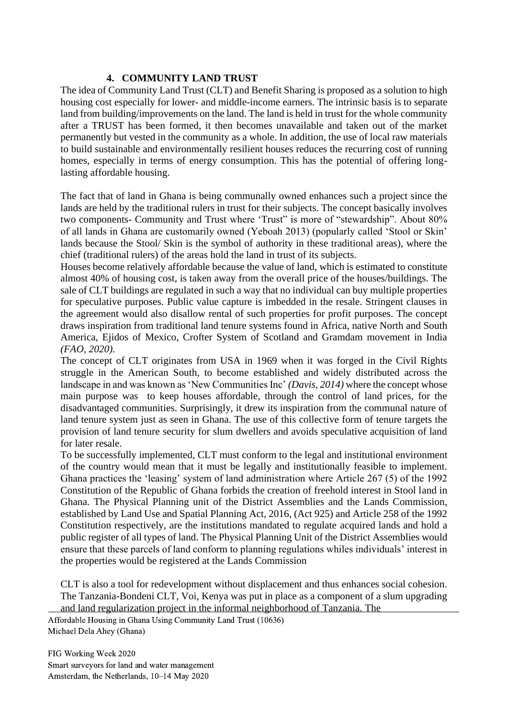# **4. COMMUNITY LAND TRUST**

The idea of Community Land Trust (CLT) and Benefit Sharing is proposed as a solution to high housing cost especially for lower- and middle-income earners. The intrinsic basis is to separate land from building/improvements on the land. The land is held in trust for the whole community after a TRUST has been formed, it then becomes unavailable and taken out of the market permanently but vested in the community as a whole. In addition, the use of local raw materials to build sustainable and environmentally resilient houses reduces the recurring cost of running homes, especially in terms of energy consumption. This has the potential of offering longlasting affordable housing.

The fact that of land in Ghana is being communally owned enhances such a project since the lands are held by the traditional rulers in trust for their subjects. The concept basically involves two components- Community and Trust where 'Trust" is more of "stewardship". About 80% of all lands in Ghana are customarily owned (Yeboah 2013) (popularly called 'Stool or Skin' lands because the Stool/ Skin is the symbol of authority in these traditional areas), where the chief (traditional rulers) of the areas hold the land in trust of its subjects.

Houses become relatively affordable because the value of land, which is estimated to constitute almost 40% of housing cost, is taken away from the overall price of the houses/buildings. The sale of CLT buildings are regulated in such a way that no individual can buy multiple properties for speculative purposes. Public value capture is imbedded in the resale. Stringent clauses in the agreement would also disallow rental of such properties for profit purposes. The concept draws inspiration from traditional land tenure systems found in Africa, native North and South America, Ejidos of Mexico, Crofter System of Scotland and Gramdam movement in India *(FAO, 2020).*

The concept of CLT originates from USA in 1969 when it was forged in the Civil Rights struggle in the American South, to become established and widely distributed across the landscape in and was known as 'New Communities Inc' *(Davis, 2014)* where the concept whose main purpose was to keep houses affordable, through the control of land prices, for the disadvantaged communities. Surprisingly, it drew its inspiration from the communal nature of land tenure system just as seen in Ghana. The use of this collective form of tenure targets the provision of land tenure security for slum dwellers and avoids speculative acquisition of land for later resale.

To be successfully implemented, CLT must conform to the legal and institutional environment of the country would mean that it must be legally and institutionally feasible to implement. Ghana practices the 'leasing' system of land administration where Article 267 (5) of the 1992 Constitution of the Republic of Ghana forbids the creation of freehold interest in Stool land in Ghana. The Physical Planning unit of the District Assemblies and the Lands Commission, established by Land Use and Spatial Planning Act, 2016, (Act 925) and Article 258 of the 1992 Constitution respectively, are the institutions mandated to regulate acquired lands and hold a public register of all types of land. The Physical Planning Unit of the District Assemblies would ensure that these parcels of land conform to planning regulations whiles individuals' interest in the properties would be registered at the Lands Commission

CLT is also a tool for redevelopment without displacement and thus enhances social cohesion. The Tanzania-Bondeni CLT, Voi, Kenya was put in place as a component of a slum upgrading and land regularization project in the informal neighborhood of Tanzania. The

Affordable Housing in Ghana Using Community Land Trust (10636) Michael Dela Ahey (Ghana)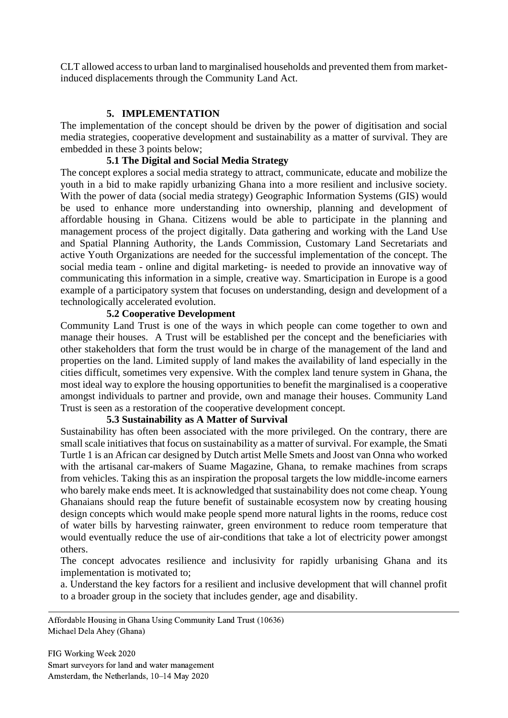CLT allowed access to urban land to marginalised households and prevented them from marketinduced displacements through the Community Land Act.

# **5. IMPLEMENTATION**

The implementation of the concept should be driven by the power of digitisation and social media strategies, cooperative development and sustainability as a matter of survival. They are embedded in these 3 points below;

# **5.1 The Digital and Social Media Strategy**

The concept explores a social media strategy to attract, communicate, educate and mobilize the youth in a bid to make rapidly urbanizing Ghana into a more resilient and inclusive society. With the power of data (social media strategy) Geographic Information Systems (GIS) would be used to enhance more understanding into ownership, planning and development of affordable housing in Ghana. Citizens would be able to participate in the planning and management process of the project digitally. Data gathering and working with the Land Use and Spatial Planning Authority, the Lands Commission, Customary Land Secretariats and active Youth Organizations are needed for the successful implementation of the concept. The social media team - online and digital marketing- is needed to provide an innovative way of communicating this information in a simple, creative way. Smarticipation in Europe is a good example of a participatory system that focuses on understanding, design and development of a technologically accelerated evolution.

# **5.2 Cooperative Development**

Community Land Trust is one of the ways in which people can come together to own and manage their houses. A Trust will be established per the concept and the beneficiaries with other stakeholders that form the trust would be in charge of the management of the land and properties on the land. Limited supply of land makes the availability of land especially in the cities difficult, sometimes very expensive. With the complex land tenure system in Ghana, the most ideal way to explore the housing opportunities to benefit the marginalised is a cooperative amongst individuals to partner and provide, own and manage their houses. Community Land Trust is seen as a restoration of the cooperative development concept.

# **5.3 Sustainability as A Matter of Survival**

Sustainability has often been associated with the more privileged. On the contrary, there are small scale initiatives that focus on sustainability as a matter of survival. For example, the Smati Turtle 1 is an African car designed by Dutch artist Melle Smets and Joost van Onna who worked with the artisanal car-makers of Suame Magazine, Ghana, to remake machines from scraps from vehicles. Taking this as an inspiration the proposal targets the low middle-income earners who barely make ends meet. It is acknowledged that sustainability does not come cheap. Young Ghanaians should reap the future benefit of sustainable ecosystem now by creating housing design concepts which would make people spend more natural lights in the rooms, reduce cost of water bills by harvesting rainwater, green environment to reduce room temperature that would eventually reduce the use of air-conditions that take a lot of electricity power amongst others.

The concept advocates resilience and inclusivity for rapidly urbanising Ghana and its implementation is motivated to;

a. Understand the key factors for a resilient and inclusive development that will channel profit to a broader group in the society that includes gender, age and disability.

Affordable Housing in Ghana Using Community Land Trust (10636) Michael Dela Ahey (Ghana)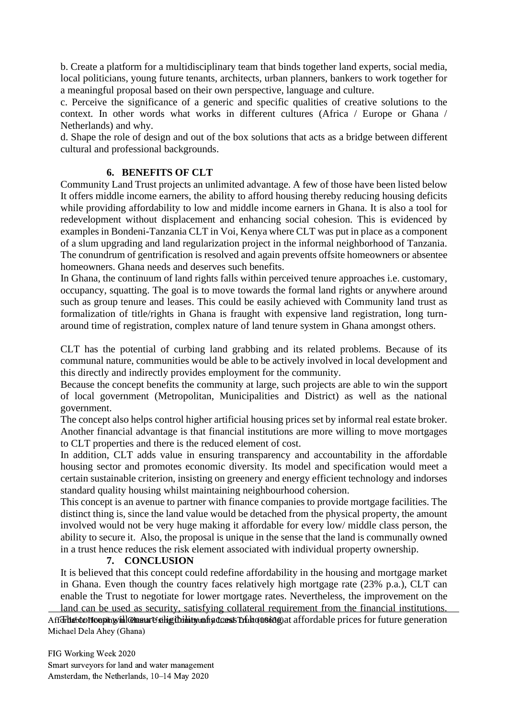b. Create a platform for a multidisciplinary team that binds together land experts, social media, local politicians, young future tenants, architects, urban planners, bankers to work together for a meaningful proposal based on their own perspective, language and culture.

c. Perceive the significance of a generic and specific qualities of creative solutions to the context. In other words what works in different cultures (Africa / Europe or Ghana / Netherlands) and why.

d. Shape the role of design and out of the box solutions that acts as a bridge between different cultural and professional backgrounds.

# **6. BENEFITS OF CLT**

Community Land Trust projects an unlimited advantage. A few of those have been listed below It offers middle income earners, the ability to afford housing thereby reducing housing deficits while providing affordability to low and middle income earners in Ghana. It is also a tool for redevelopment without displacement and enhancing social cohesion. This is evidenced by examples in Bondeni-Tanzania CLT in Voi, Kenya where CLT was put in place as a component of a slum upgrading and land regularization project in the informal neighborhood of Tanzania. The conundrum of gentrification is resolved and again prevents offsite homeowners or absentee homeowners. Ghana needs and deserves such benefits.

In Ghana, the continuum of land rights falls within perceived tenure approaches i.e. customary, occupancy, squatting. The goal is to move towards the formal land rights or anywhere around such as group tenure and leases. This could be easily achieved with Community land trust as formalization of title/rights in Ghana is fraught with expensive land registration, long turnaround time of registration, complex nature of land tenure system in Ghana amongst others.

CLT has the potential of curbing land grabbing and its related problems. Because of its communal nature, communities would be able to be actively involved in local development and this directly and indirectly provides employment for the community.

Because the concept benefits the community at large, such projects are able to win the support of local government (Metropolitan, Municipalities and District) as well as the national government.

The concept also helps control higher artificial housing prices set by informal real estate broker. Another financial advantage is that financial institutions are more willing to move mortgages to CLT properties and there is the reduced element of cost.

In addition, CLT adds value in ensuring transparency and accountability in the affordable housing sector and promotes economic diversity. Its model and specification would meet a certain sustainable criterion, insisting on greenery and energy efficient technology and indorses standard quality housing whilst maintaining neighbourhood cohersion.

This concept is an avenue to partner with finance companies to provide mortgage facilities. The distinct thing is, since the land value would be detached from the physical property, the amount involved would not be very huge making it affordable for every low/ middle class person, the ability to secure it. Also, the proposal is unique in the sense that the land is communally owned in a trust hence reduces the risk element associated with individual property ownership.

#### **7. CONCLUSION**

It is believed that this concept could redefine affordability in the housing and mortgage market in Ghana. Even though the country faces relatively high mortgage rate (23% p.a.), CLT can enable the Trust to negotiate for lower mortgage rates. Nevertheless, the improvement on the land can be used as security, satisfying collateral requirement from the financial institutions.

Affdritet to Housing in Ghana Using Community Community Community Affdrites for future generation Michael Dela Ahey (Ghana)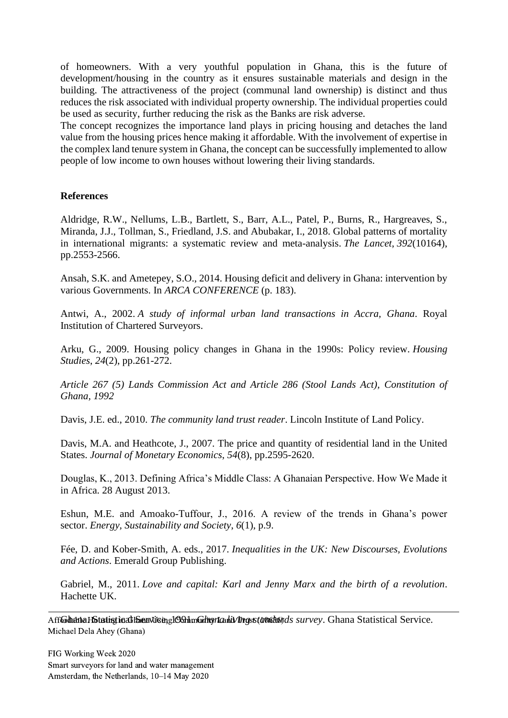of homeowners. With a very youthful population in Ghana, this is the future of development/housing in the country as it ensures sustainable materials and design in the building. The attractiveness of the project (communal land ownership) is distinct and thus reduces the risk associated with individual property ownership. The individual properties could be used as security, further reducing the risk as the Banks are risk adverse.

The concept recognizes the importance land plays in pricing housing and detaches the land value from the housing prices hence making it affordable. With the involvement of expertise in the complex land tenure system in Ghana, the concept can be successfully implemented to allow people of low income to own houses without lowering their living standards.

#### **References**

Aldridge, R.W., Nellums, L.B., Bartlett, S., Barr, A.L., Patel, P., Burns, R., Hargreaves, S., Miranda, J.J., Tollman, S., Friedland, J.S. and Abubakar, I., 2018. Global patterns of mortality in international migrants: a systematic review and meta-analysis. *The Lancet*, *392*(10164), pp.2553-2566.

Ansah, S.K. and Ametepey, S.O., 2014. Housing deficit and delivery in Ghana: intervention by various Governments. In *ARCA CONFERENCE* (p. 183).

Antwi, A., 2002. *A study of informal urban land transactions in Accra, Ghana*. Royal Institution of Chartered Surveyors.

Arku, G., 2009. Housing policy changes in Ghana in the 1990s: Policy review. *Housing Studies*, *24*(2), pp.261-272.

*Article 267 (5) Lands Commission Act and Article 286 (Stool Lands Act), Constitution of Ghana, 1992*

Davis, J.E. ed., 2010. *The community land trust reader*. Lincoln Institute of Land Policy.

Davis, M.A. and Heathcote, J., 2007. The price and quantity of residential land in the United States. *Journal of Monetary Economics*, *54*(8), pp.2595-2620.

Douglas, K., 2013. Defining Africa's Middle Class: A Ghanaian Perspective. How We Made it in Africa. 28 August 2013.

Eshun, M.E. and Amoako-Tuffour, J., 2016. A review of the trends in Ghana's power sector. *Energy, Sustainability and Society*, *6*(1), p.9.

Fée, D. and Kober-Smith, A. eds., 2017. *Inequalities in the UK: New Discourses, Evolutions and Actions*. Emerald Group Publishing.

Gabriel, M., 2011. *Love and capital: Karl and Jenny Marx and the birth of a revolution*. Hachette UK.

Aff**Ghana Histatist in Ghana Using Community Land Trust (10636)** Ghana Statistical Service. Michael Dela Ahey (Ghana)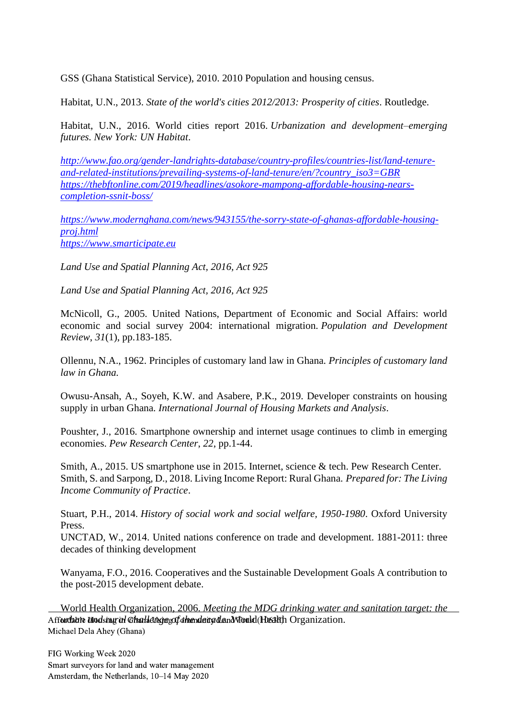GSS (Ghana Statistical Service), 2010. 2010 Population and housing census.

Habitat, U.N., 2013. *State of the world's cities 2012/2013: Prosperity of cities*. Routledge.

Habitat, U.N., 2016. World cities report 2016. *Urbanization and development–emerging futures. New York: UN Habitat*.

*[http://www.fao.org/gender-landrights-database/country-profiles/countries-list/land-tenure](http://www.fao.org/gender-landrights-database/country-profiles/countries-list/land-tenure-and-related-institutions/prevailing-systems-of-land-tenure/en/?country_iso3=GBR)[and-related-institutions/prevailing-systems-of-land-tenure/en/?country\\_iso3=GBR](http://www.fao.org/gender-landrights-database/country-profiles/countries-list/land-tenure-and-related-institutions/prevailing-systems-of-land-tenure/en/?country_iso3=GBR) [https://thebftonline.com/2019/headlines/asokore-mampong-affordable-housing-nears](https://thebftonline.com/2019/headlines/asokore-mampong-affordable-housing-nears-completion-ssnit-boss/)[completion-ssnit-boss/](https://thebftonline.com/2019/headlines/asokore-mampong-affordable-housing-nears-completion-ssnit-boss/)*

*[https://www.modernghana.com/news/943155/the-sorry-state-of-ghanas-affordable-housing](https://www.modernghana.com/news/943155/the-sorry-state-of-ghanas-affordable-housing-proj.html)[proj.html](https://www.modernghana.com/news/943155/the-sorry-state-of-ghanas-affordable-housing-proj.html) [https://www.smarticipate.eu](https://www.smarticipate.eu/)*

*Land Use and Spatial Planning Act, 2016, Act 925*

*Land Use and Spatial Planning Act, 2016, Act 925*

McNicoll, G., 2005. United Nations, Department of Economic and Social Affairs: world economic and social survey 2004: international migration. *Population and Development Review*, *31*(1), pp.183-185.

Ollennu, N.A., 1962. Principles of customary land law in Ghana. *Principles of customary land law in Ghana.*

Owusu-Ansah, A., Soyeh, K.W. and Asabere, P.K., 2019. Developer constraints on housing supply in urban Ghana. *International Journal of Housing Markets and Analysis*.

Poushter, J., 2016. Smartphone ownership and internet usage continues to climb in emerging economies. *Pew Research Center*, *22*, pp.1-44.

Smith, A., 2015. US smartphone use in 2015. Internet, science & tech. Pew Research Center. Smith, S. and Sarpong, D., 2018. Living Income Report: Rural Ghana. *Prepared for: The Living Income Community of Practice*.

Stuart, P.H., 2014. *History of social work and social welfare, 1950-1980*. Oxford University Press.

UNCTAD, W., 2014. United nations conference on trade and development. 1881-2011: three decades of thinking development

Wanyama, F.O., 2016. Cooperatives and the Sustainable Development Goals A contribution to the post-2015 development debate.

World Health Organization, 2006. *Meeting the MDG drinking water and sanitation target: the*  Affordable Hoodsing in Ghana University of the Mana Using Montrol (Health Organization. Michael Dela Ahey (Ghana)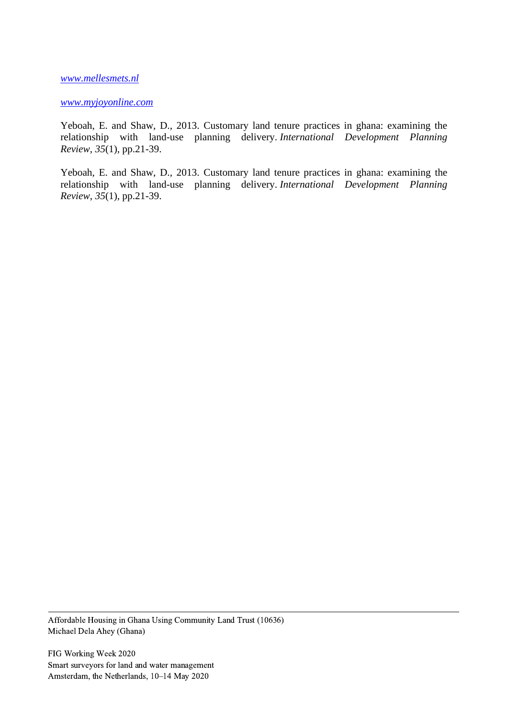*[www.mellesmets.nl](http://www.mellesmets.nl/)*

#### *[www.myjoyonline.com](http://www.myjoyonline.com/)*

Yeboah, E. and Shaw, D., 2013. Customary land tenure practices in ghana: examining the relationship with land-use planning delivery. *International Development Planning Review*, *35*(1), pp.21-39.

Yeboah, E. and Shaw, D., 2013. Customary land tenure practices in ghana: examining the relationship with land-use planning delivery. *International Development Planning Review*, *35*(1), pp.21-39.

Affordable Housing in Ghana Using Community Land Trust (10636) Michael Dela Ahey (Ghana)